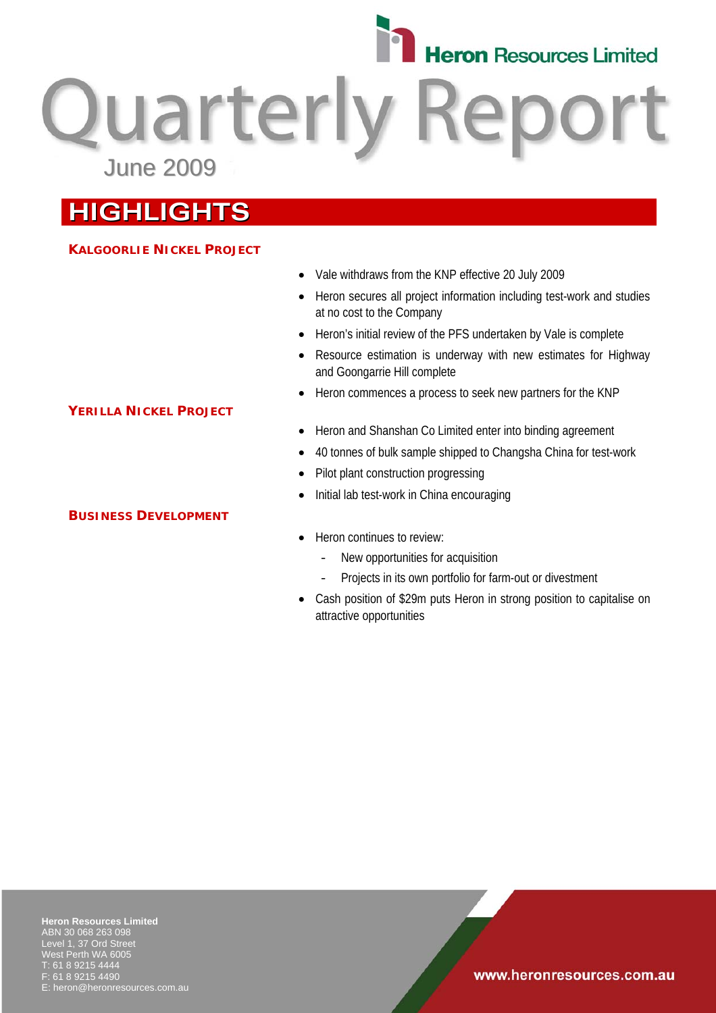# **Heron** Resources Limited

**Quarterly Rep** June 2009

### **HIGHLIGHTS**

### **KALGOORLIE NICKEL PROJECT**

- Vale withdraws from the KNP effective 20 July 2009
- Heron secures all project information including test-work and studies at no cost to the Company
- Heron's initial review of the PFS undertaken by Vale is complete
- Resource estimation is underway with new estimates for Highway and Goongarrie Hill complete
- Heron commences a process to seek new partners for the KNP
- Heron and Shanshan Co Limited enter into binding agreement
- 40 tonnes of bulk sample shipped to Changsha China for test-work
- Pilot plant construction progressing
- Initial lab test-work in China encouraging
- Heron continues to review:
	- New opportunities for acquisition
	- Projects in its own portfolio for farm-out or divestment
- Cash position of \$29m puts Heron in strong position to capitalise on attractive opportunities

#### **Heron Resources Limited**  ABN 30 068 263 098 Level 1, 37 Ord Street West Perth WA 6005 T: 61 8 9215 4444 F: 61 8 9215 4490 heron@heronresources.com.au

**YERILLA NICKEL PROJECT**

### **BUSINESS DEVELOPMENT**

www.heronresources.com.au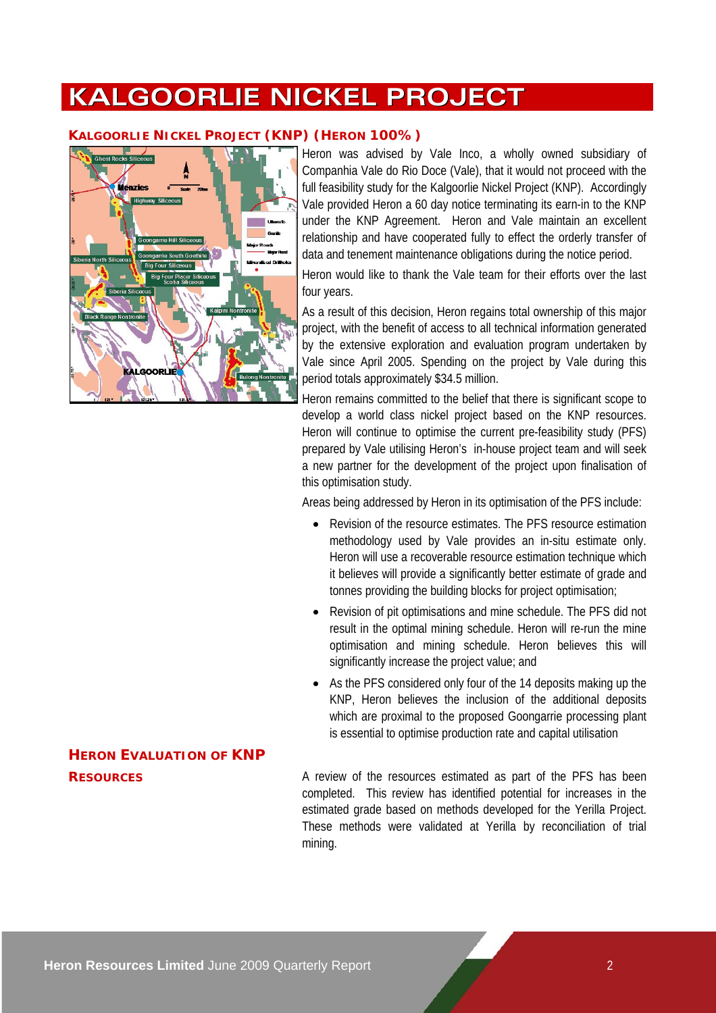### **KALGOORLIE NICKEL PROJECT**

### **KALGOORLIE NICKEL PROJECT (KNP) (HERON 100%)**



Heron was advised by Vale Inco, a wholly owned subsidiary of Companhia Vale do Rio Doce (Vale), that it would not proceed with the full feasibility study for the Kalgoorlie Nickel Project (KNP). Accordingly Vale provided Heron a 60 day notice terminating its earn-in to the KNP under the KNP Agreement. Heron and Vale maintain an excellent relationship and have cooperated fully to effect the orderly transfer of data and tenement maintenance obligations during the notice period.

Heron would like to thank the Vale team for their efforts over the last four years.

As a result of this decision, Heron regains total ownership of this major project, with the benefit of access to all technical information generated by the extensive exploration and evaluation program undertaken by Vale since April 2005. Spending on the project by Vale during this period totals approximately \$34.5 million.

Heron remains committed to the belief that there is significant scope to develop a world class nickel project based on the KNP resources. Heron will continue to optimise the current pre-feasibility study (PFS) prepared by Vale utilising Heron's in-house project team and will seek a new partner for the development of the project upon finalisation of this optimisation study.

Areas being addressed by Heron in its optimisation of the PFS include:

- Revision of the resource estimates. The PFS resource estimation methodology used by Vale provides an in-situ estimate only. Heron will use a recoverable resource estimation technique which it believes will provide a significantly better estimate of grade and tonnes providing the building blocks for project optimisation;
- Revision of pit optimisations and mine schedule. The PFS did not result in the optimal mining schedule. Heron will re-run the mine optimisation and mining schedule. Heron believes this will significantly increase the project value; and
- As the PFS considered only four of the 14 deposits making up the KNP, Heron believes the inclusion of the additional deposits which are proximal to the proposed Goongarrie processing plant is essential to optimise production rate and capital utilisation

**RESOURCES** A review of the resources estimated as part of the PFS has been completed. This review has identified potential for increases in the estimated grade based on methods developed for the Yerilla Project. These methods were validated at Yerilla by reconciliation of trial mining.

## **HERON EVALUATION OF KNP**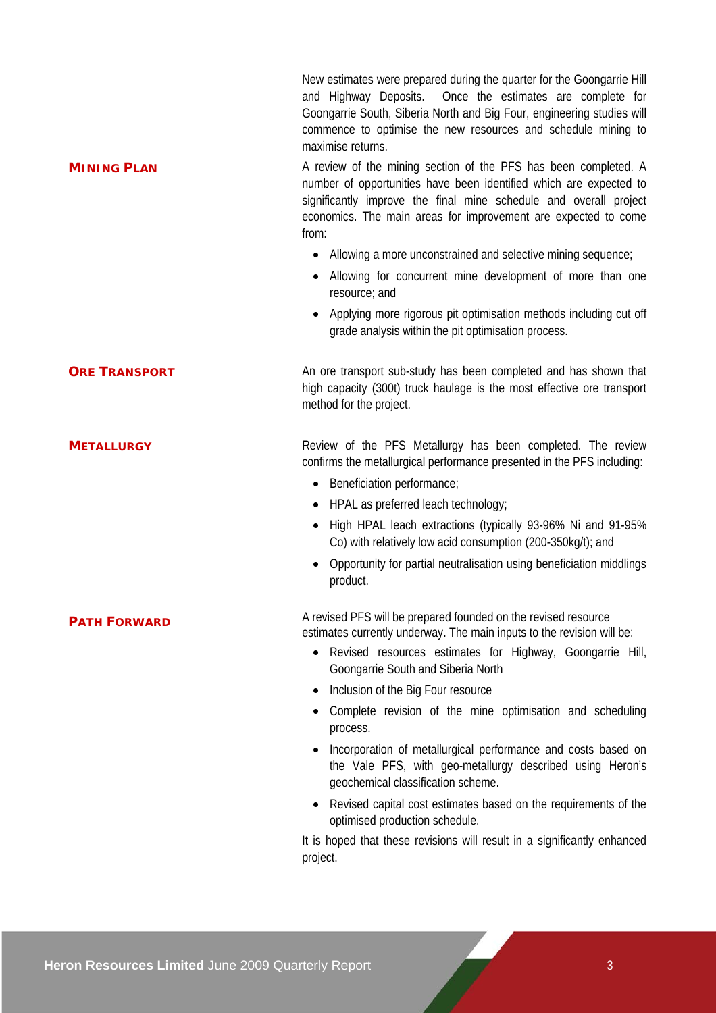|                      | New estimates were prepared during the quarter for the Goongarrie Hill<br>and Highway Deposits. Once the estimates are complete for<br>Goongarrie South, Siberia North and Big Four, engineering studies will<br>commence to optimise the new resources and schedule mining to<br>maximise returns. |
|----------------------|-----------------------------------------------------------------------------------------------------------------------------------------------------------------------------------------------------------------------------------------------------------------------------------------------------|
| <b>MINING PLAN</b>   | A review of the mining section of the PFS has been completed. A<br>number of opportunities have been identified which are expected to<br>significantly improve the final mine schedule and overall project<br>economics. The main areas for improvement are expected to come<br>from:               |
|                      | • Allowing a more unconstrained and selective mining sequence;                                                                                                                                                                                                                                      |
|                      | Allowing for concurrent mine development of more than one<br>resource; and                                                                                                                                                                                                                          |
|                      | Applying more rigorous pit optimisation methods including cut off<br>grade analysis within the pit optimisation process.                                                                                                                                                                            |
| <b>ORE TRANSPORT</b> | An ore transport sub-study has been completed and has shown that<br>high capacity (300t) truck haulage is the most effective ore transport<br>method for the project.                                                                                                                               |
| <b>METALLURGY</b>    | Review of the PFS Metallurgy has been completed. The review<br>confirms the metallurgical performance presented in the PFS including:                                                                                                                                                               |
|                      | • Beneficiation performance;                                                                                                                                                                                                                                                                        |
|                      | HPAL as preferred leach technology;                                                                                                                                                                                                                                                                 |
|                      | High HPAL leach extractions (typically 93-96% Ni and 91-95%<br>Co) with relatively low acid consumption (200-350kg/t); and                                                                                                                                                                          |
|                      | Opportunity for partial neutralisation using beneficiation middlings<br>product.                                                                                                                                                                                                                    |
| <b>PATH FORWARD</b>  | A revised PFS will be prepared founded on the revised resource<br>estimates currently underway. The main inputs to the revision will be:                                                                                                                                                            |
|                      | Revised resources estimates for Highway, Goongarrie Hill,<br>Goongarrie South and Siberia North                                                                                                                                                                                                     |
|                      | Inclusion of the Big Four resource                                                                                                                                                                                                                                                                  |
|                      | Complete revision of the mine optimisation and scheduling<br>process.                                                                                                                                                                                                                               |
|                      | Incorporation of metallurgical performance and costs based on<br>the Vale PFS, with geo-metallurgy described using Heron's<br>geochemical classification scheme.                                                                                                                                    |
|                      | Revised capital cost estimates based on the requirements of the<br>optimised production schedule.                                                                                                                                                                                                   |
|                      | It is hoped that these revisions will result in a significantly enhanced<br>project.                                                                                                                                                                                                                |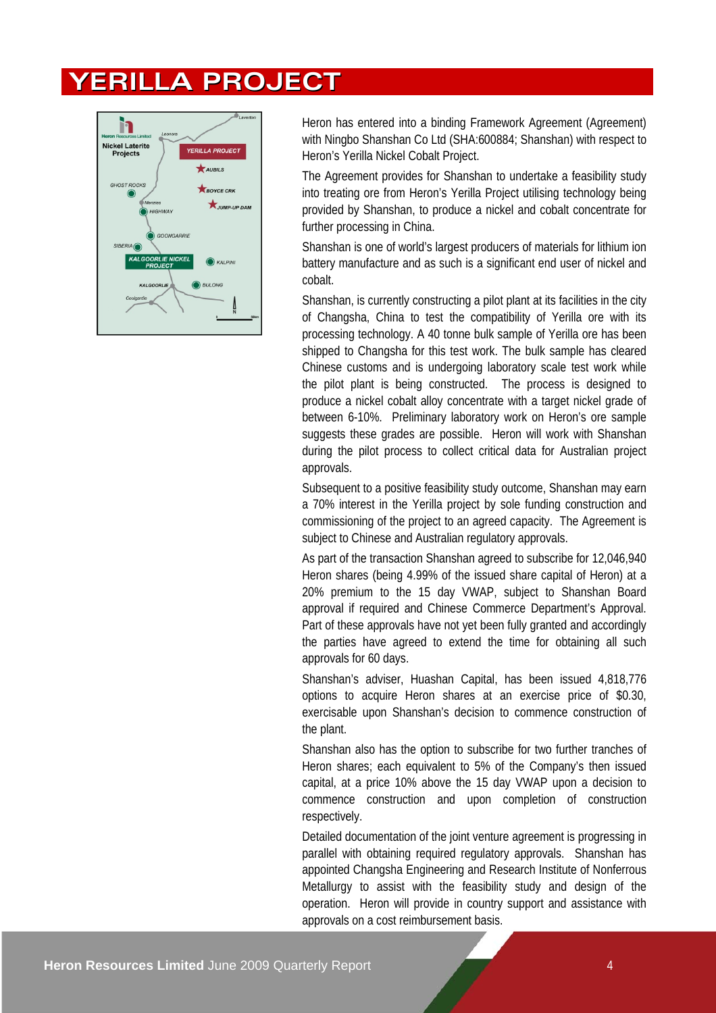### **YERILLA PROJECT**



Heron has entered into a binding Framework Agreement (Agreement) with Ningbo Shanshan Co Ltd (SHA:600884; Shanshan) with respect to Heron's Yerilla Nickel Cobalt Project.

The Agreement provides for Shanshan to undertake a feasibility study into treating ore from Heron's Yerilla Project utilising technology being provided by Shanshan, to produce a nickel and cobalt concentrate for further processing in China.

Shanshan is one of world's largest producers of materials for lithium ion battery manufacture and as such is a significant end user of nickel and cobalt.

Shanshan, is currently constructing a pilot plant at its facilities in the city of Changsha, China to test the compatibility of Yerilla ore with its processing technology. A 40 tonne bulk sample of Yerilla ore has been shipped to Changsha for this test work. The bulk sample has cleared Chinese customs and is undergoing laboratory scale test work while the pilot plant is being constructed. The process is designed to produce a nickel cobalt alloy concentrate with a target nickel grade of between 6-10%. Preliminary laboratory work on Heron's ore sample suggests these grades are possible. Heron will work with Shanshan during the pilot process to collect critical data for Australian project approvals.

Subsequent to a positive feasibility study outcome, Shanshan may earn a 70% interest in the Yerilla project by sole funding construction and commissioning of the project to an agreed capacity. The Agreement is subject to Chinese and Australian regulatory approvals.

As part of the transaction Shanshan agreed to subscribe for 12,046,940 Heron shares (being 4.99% of the issued share capital of Heron) at a 20% premium to the 15 day VWAP, subject to Shanshan Board approval if required and Chinese Commerce Department's Approval. Part of these approvals have not yet been fully granted and accordingly the parties have agreed to extend the time for obtaining all such approvals for 60 days.

Shanshan's adviser, Huashan Capital, has been issued 4,818,776 options to acquire Heron shares at an exercise price of \$0.30, exercisable upon Shanshan's decision to commence construction of the plant.

Shanshan also has the option to subscribe for two further tranches of Heron shares; each equivalent to 5% of the Company's then issued capital, at a price 10% above the 15 day VWAP upon a decision to commence construction and upon completion of construction respectively.

Detailed documentation of the joint venture agreement is progressing in parallel with obtaining required regulatory approvals. Shanshan has appointed Changsha Engineering and Research Institute of Nonferrous Metallurgy to assist with the feasibility study and design of the operation. Heron will provide in country support and assistance with approvals on a cost reimbursement basis.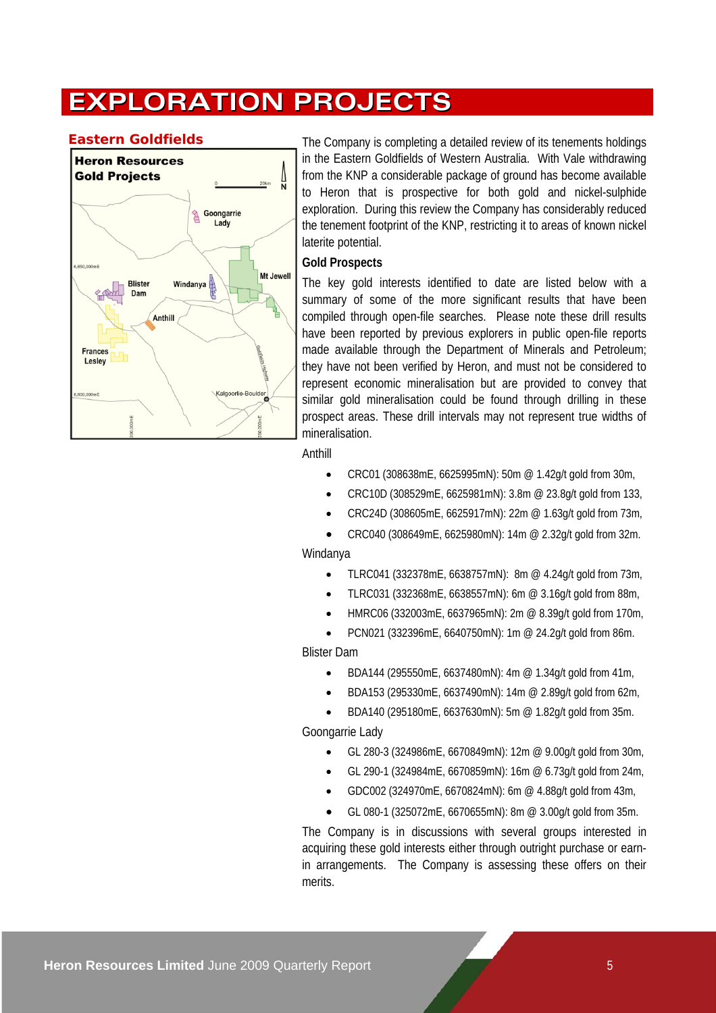### **EXPLORATION PROJECTS**



**Eastern Goldfields** The Company is completing a detailed review of its tenements holdings in the Eastern Goldfields of Western Australia. With Vale withdrawing from the KNP a considerable package of ground has become available to Heron that is prospective for both gold and nickel-sulphide exploration. During this review the Company has considerably reduced the tenement footprint of the KNP, restricting it to areas of known nickel laterite potential.

### **Gold Prospects**

The key gold interests identified to date are listed below with a summary of some of the more significant results that have been compiled through open-file searches. Please note these drill results have been reported by previous explorers in public open-file reports made available through the Department of Minerals and Petroleum; they have not been verified by Heron, and must not be considered to represent economic mineralisation but are provided to convey that similar gold mineralisation could be found through drilling in these prospect areas. These drill intervals may not represent true widths of mineralisation.

Anthill

- CRC01 (308638mE, 6625995mN): 50m @ 1.42g/t gold from 30m,
- CRC10D (308529mE, 6625981mN): 3.8m @ 23.8g/t gold from 133,
- CRC24D (308605mE, 6625917mN): 22m @ 1.63g/t gold from 73m,
- CRC040 (308649mE, 6625980mN): 14m @ 2.32g/t gold from 32m.

### Windanya

- TLRC041 (332378mE, 6638757mN): 8m  $@$  4.24q/t gold from 73m,
- TLRC031 (332368mE, 6638557mN): 6m @ 3.16g/t gold from 88m,
- HMRC06 (332003mE, 6637965mN): 2m @ 8.39g/t gold from 170m,
- PCN021 (332396mE, 6640750mN): 1m @ 24.2g/t gold from 86m.

### Blister Dam

- BDA144 (295550mE, 6637480mN): 4m @ 1.34g/t gold from 41m,
- BDA153 (295330mE, 6637490mN): 14m @ 2.89g/t gold from 62m,
- BDA140 (295180mE, 6637630mN): 5m @ 1.82g/t gold from 35m.

### Goongarrie Lady

- GL 280-3 (324986mE, 6670849mN): 12m @ 9.00g/t gold from 30m,
- GL 290-1 (324984mE, 6670859mN): 16m @ 6.73g/t gold from 24m,
- GDC002 (324970mE, 6670824mN): 6m @ 4.88g/t gold from 43m,
- GL 080-1 (325072mE, 6670655mN): 8m @ 3.00g/t gold from 35m.

The Company is in discussions with several groups interested in acquiring these gold interests either through outright purchase or earnin arrangements. The Company is assessing these offers on their merits.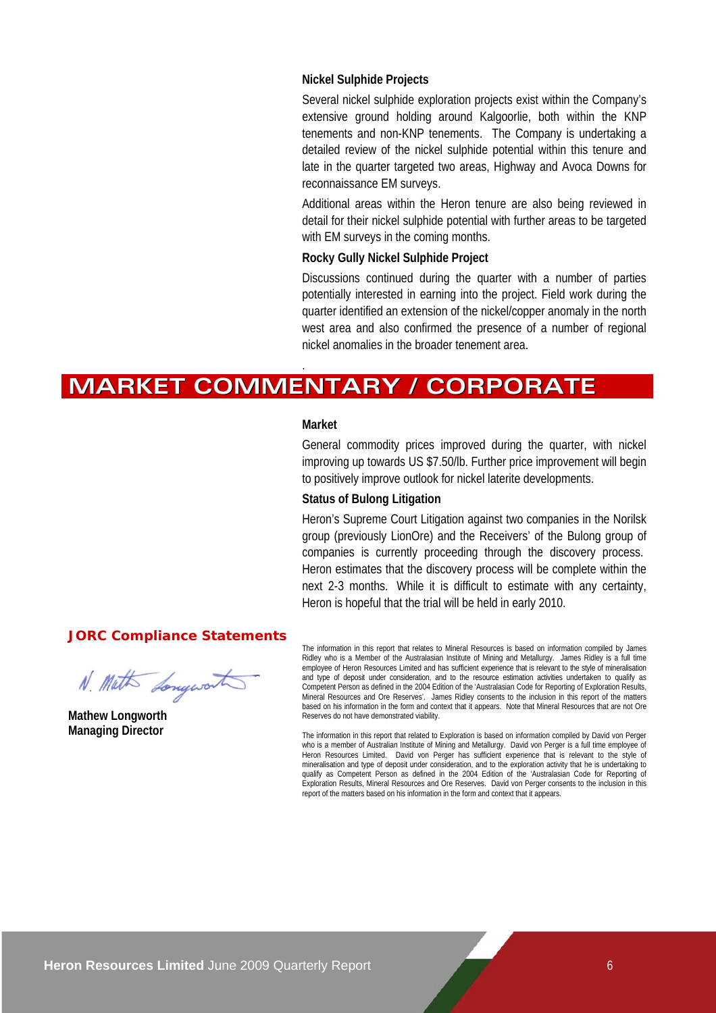### **Nickel Sulphide Projects**

Several nickel sulphide exploration projects exist within the Company's extensive ground holding around Kalgoorlie, both within the KNP tenements and non-KNP tenements. The Company is undertaking a detailed review of the nickel sulphide potential within this tenure and late in the quarter targeted two areas, Highway and Avoca Downs for reconnaissance EM surveys.

Additional areas within the Heron tenure are also being reviewed in detail for their nickel sulphide potential with further areas to be targeted with EM surveys in the coming months.

### **Rocky Gully Nickel Sulphide Project**

Discussions continued during the quarter with a number of parties potentially interested in earning into the project. Field work during the quarter identified an extension of the nickel/copper anomaly in the north west area and also confirmed the presence of a number of regional nickel anomalies in the broader tenement area.

### **MARKET COMMENTARY / CORPORATE**

#### **Market**

.

General commodity prices improved during the quarter, with nickel improving up towards US \$7.50/lb. Further price improvement will begin to positively improve outlook for nickel laterite developments.

### **Status of Bulong Litigation**

Heron's Supreme Court Litigation against two companies in the Norilsk group (previously LionOre) and the Receivers' of the Bulong group of companies is currently proceeding through the discovery process. Heron estimates that the discovery process will be complete within the next 2-3 months. While it is difficult to estimate with any certainty, Heron is hopeful that the trial will be held in early 2010.

### **JORC Compliance Statements**

N. Math Longwort

**Mathew Longworth Managing Director** 

The information in this report that relates to Mineral Resources is based on information compiled by James Ridley who is a Member of the Australasian Institute of Mining and Metallurgy. James Ridley is a full time employee of Heron Resources Limited and has sufficient experience that is relevant to the style of mineralisation and type of deposit under consideration, and to the resource estimation activities undertaken to qualify as Competent Person as defined in the 2004 Edition of the 'Australasian Code for Reporting of Exploration Results, Mineral Resources and Ore Reserves'. James Ridley consents to the inclusion in this report of the matters based on his information in the form and context that it appears. Note that Mineral Resources that are not Ore Reserves do not have demonstrated viability.

The information in this report that related to Exploration is based on information compiled by David von Perger who is a member of Australian Institute of Mining and Metallurgy. David von Perger is a full time employee of Heron Resources Limited. David von Perger has sufficient experience that is relevant to the style of mineralisation and type of deposit under consideration, and to the exploration activity that he is undertaking to qualify as Competent Person as defined in the 2004 Edition of the 'Australasian Code for Reporting of Exploration Results, Mineral Resources and Ore Reserves. David von Perger consents to the inclusion in this report of the matters based on his information in the form and context that it appears.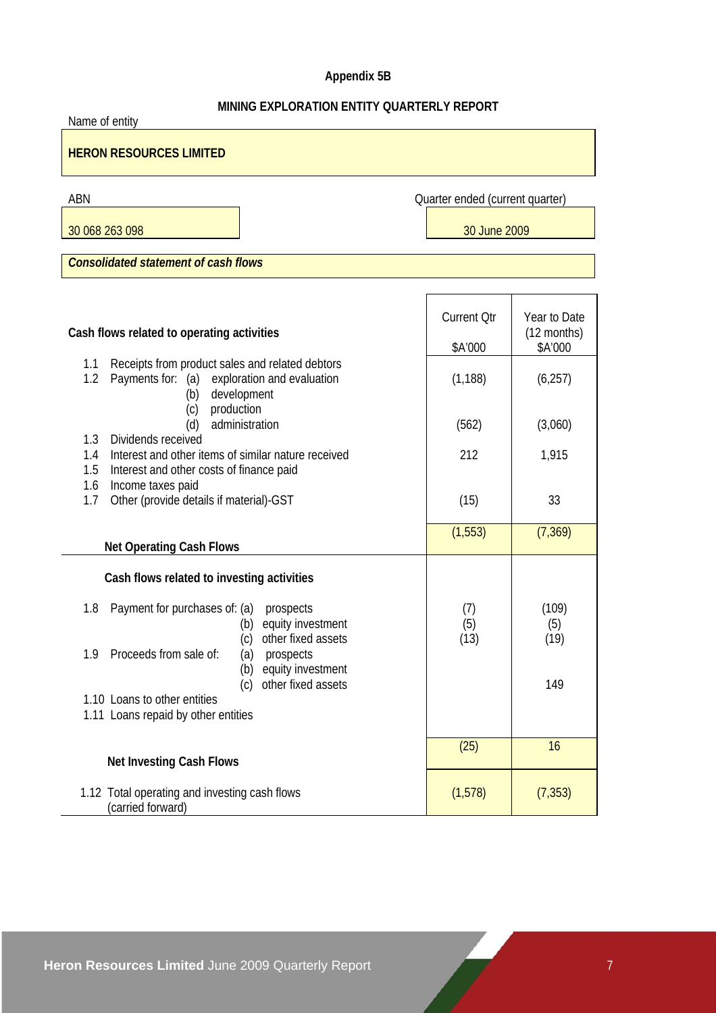### **Appendix 5B**

### **MINING EXPLORATION ENTITY QUARTERLY REPORT**

| Name of entity                                                                                                                                                                           |                                 |                                          |
|------------------------------------------------------------------------------------------------------------------------------------------------------------------------------------------|---------------------------------|------------------------------------------|
| <b>HERON RESOURCES LIMITED</b>                                                                                                                                                           |                                 |                                          |
| ABN                                                                                                                                                                                      | Quarter ended (current quarter) |                                          |
| 30 068 263 098                                                                                                                                                                           | 30 June 2009                    |                                          |
| <b>Consolidated statement of cash flows</b>                                                                                                                                              |                                 |                                          |
|                                                                                                                                                                                          |                                 |                                          |
| Cash flows related to operating activities                                                                                                                                               | <b>Current Otr</b><br>\$A'000   | Year to Date<br>$(12$ months)<br>\$A'000 |
| Receipts from product sales and related debtors<br>1.1<br>1.2<br>Payments for: (a)<br>exploration and evaluation<br>development<br>(b)                                                   | (1, 188)                        | (6, 257)                                 |
| production<br>(c)<br>administration<br>(d)                                                                                                                                               | (562)                           | (3,060)                                  |
| Dividends received<br>1.3<br>Interest and other items of similar nature received<br>1.4<br>1.5<br>Interest and other costs of finance paid<br>1.6<br>Income taxes paid                   | 212                             | 1,915                                    |
| Other (provide details if material)-GST<br>1.7                                                                                                                                           | (15)                            | 33                                       |
| <b>Net Operating Cash Flows</b>                                                                                                                                                          | (1, 553)                        | (7, 369)                                 |
| Cash flows related to investing activities                                                                                                                                               |                                 |                                          |
| 1.8<br>Payment for purchases of: (a)<br>prospects<br>equity investment<br>(b)<br>other fixed assets<br>(c)<br>1.9 Proceeds from sale of:<br>(a)<br>prospects<br>equity investment<br>(b) | (7)<br>(5)<br>(13)              | (109)<br>(5)<br>(19)                     |
| other fixed assets<br>(c)<br>1.10 Loans to other entities<br>1.11 Loans repaid by other entities                                                                                         |                                 | 149                                      |
| <b>Net Investing Cash Flows</b>                                                                                                                                                          | (25)                            | 16                                       |
| 1.12 Total operating and investing cash flows<br>(carried forward)                                                                                                                       | (1, 578)                        | (7, 353)                                 |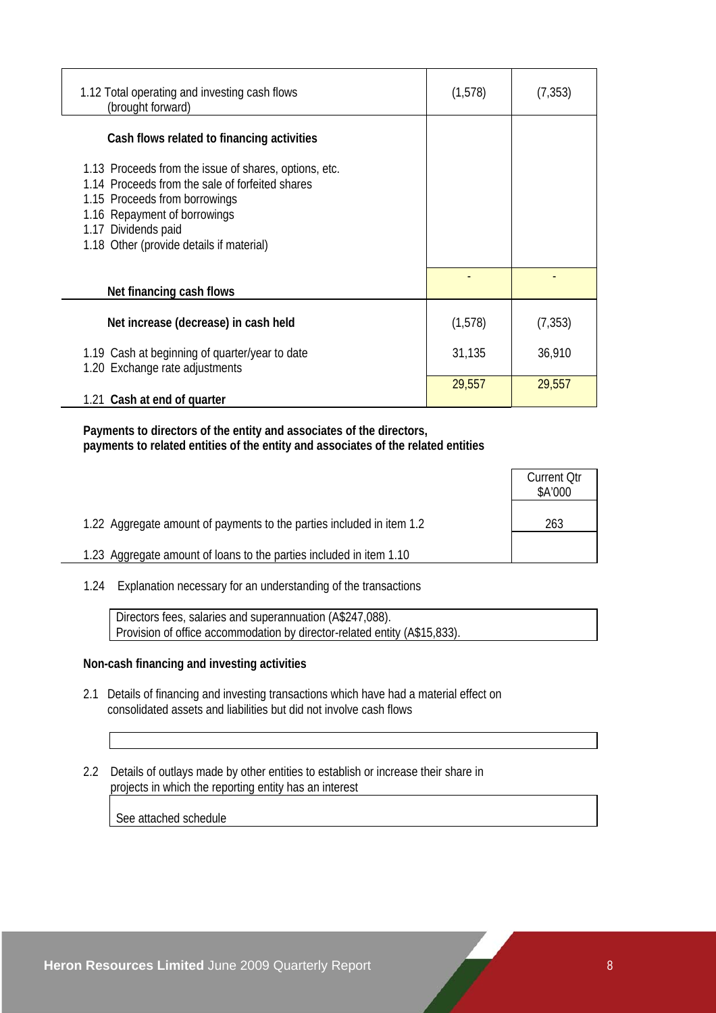| 1.12 Total operating and investing cash flows<br>(brought forward)                                                                                                                                                                           | (1,578) | (7, 353) |
|----------------------------------------------------------------------------------------------------------------------------------------------------------------------------------------------------------------------------------------------|---------|----------|
| Cash flows related to financing activities                                                                                                                                                                                                   |         |          |
| 1.13 Proceeds from the issue of shares, options, etc.<br>1.14 Proceeds from the sale of forfeited shares<br>1.15 Proceeds from borrowings<br>1.16 Repayment of borrowings<br>1.17 Dividends paid<br>1.18 Other (provide details if material) |         |          |
| Net financing cash flows                                                                                                                                                                                                                     |         |          |
| Net increase (decrease) in cash held                                                                                                                                                                                                         | (1,578) | (7, 353) |
| 1.19 Cash at beginning of quarter/year to date<br>1.20 Exchange rate adjustments                                                                                                                                                             | 31,135  | 36,910   |
| 1.21 Cash at end of quarter                                                                                                                                                                                                                  | 29,557  | 29,557   |

 **Payments to directors of the entity and associates of the directors, payments to related entities of the entity and associates of the related entities** 

|                                                                       | <b>Current Qtr</b><br>\$A'000 |
|-----------------------------------------------------------------------|-------------------------------|
| 1.22 Aggregate amount of payments to the parties included in item 1.2 | 263                           |
| 1.23 Aggregate amount of loans to the parties included in item 1.10   |                               |

1.24 Explanation necessary for an understanding of the transactions

 Directors fees, salaries and superannuation (A\$247,088). Provision of office accommodation by director-related entity (A\$15,833).

### **Non-cash financing and investing activities**

- 2.1 Details of financing and investing transactions which have had a material effect on consolidated assets and liabilities but did not involve cash flows
- 2.2 Details of outlays made by other entities to establish or increase their share in projects in which the reporting entity has an interest

See attached schedule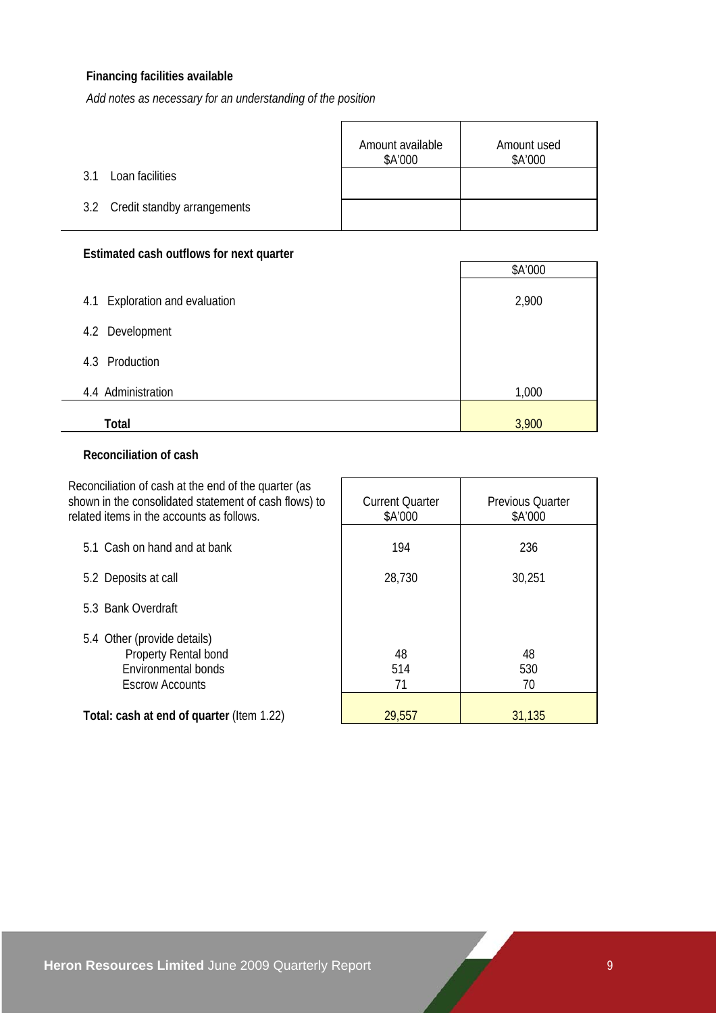### **Financing facilities available**

*Add notes as necessary for an understanding of the position*

|                                 | Amount available<br>\$A'000 | Amount used<br>\$A'000 |
|---------------------------------|-----------------------------|------------------------|
| Loan facilities<br>? 1          |                             |                        |
| 3.2 Credit standby arrangements |                             |                        |

### **Estimated cash outflows for next quarter**

| EStimated cash bathows for next quarter |         |
|-----------------------------------------|---------|
|                                         | \$A'000 |
| Exploration and evaluation<br>4.1       | 2,900   |
| 4.2 Development                         |         |
| 4.3 Production                          |         |
| 4.4 Administration                      | 1,000   |
| Total                                   | 3,900   |

### **Reconciliation of cash**

| Reconciliation of cash at the end of the quarter (as<br>shown in the consolidated statement of cash flows) to<br>related items in the accounts as follows. | <b>Current Quarter</b><br>\$A'000 | <b>Previous Quarter</b><br>\$A'000 |
|------------------------------------------------------------------------------------------------------------------------------------------------------------|-----------------------------------|------------------------------------|
| 5.1 Cash on hand and at bank                                                                                                                               | 194                               | 236                                |
| 5.2 Deposits at call                                                                                                                                       | 28,730                            | 30,251                             |
| 5.3 Bank Overdraft                                                                                                                                         |                                   |                                    |
| 5.4 Other (provide details)<br>Property Rental bond<br>Environmental bonds<br><b>Escrow Accounts</b>                                                       | 48<br>514<br>71                   | 48<br>530<br>70                    |
| Total: cash at end of quarter (Item 1.22)                                                                                                                  | 29,557                            | 31,135                             |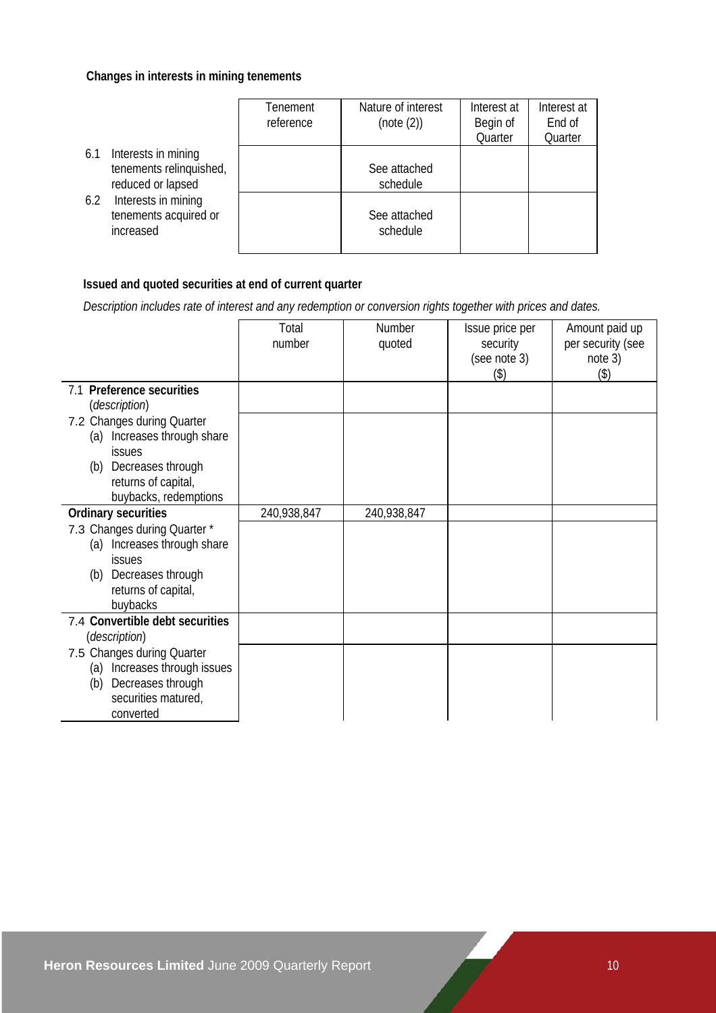### **Changes in interests in mining tenements**

|                                                                            | Tenement<br>reference | Nature of interest<br>(note (2)) | Interest at<br>Begin of<br>Quarter | Interest at<br>End of<br>Quarter |
|----------------------------------------------------------------------------|-----------------------|----------------------------------|------------------------------------|----------------------------------|
| Interests in mining<br>6.1<br>tenements relinquished,<br>reduced or lapsed |                       | See attached<br>schedule         |                                    |                                  |
| Interests in mining<br>6.2<br>tenements acquired or<br>increased           |                       | See attached<br>schedule         |                                    |                                  |

### **Issued and quoted securities at end of current quarter**

 *Description includes rate of interest and any redemption or conversion rights together with prices and dates.* 

|                                                     | Total       | <b>Number</b> | Issue price per          | Amount paid up               |
|-----------------------------------------------------|-------------|---------------|--------------------------|------------------------------|
|                                                     | number      | quoted        | security<br>(see note 3) | per security (see<br>note 3) |
|                                                     |             |               | (3)                      | $($ \$)                      |
| 7.1 Preference securities<br><i>(description)</i>   |             |               |                          |                              |
| 7.2 Changes during Quarter                          |             |               |                          |                              |
| Increases through share<br>(a)<br><b>issues</b>     |             |               |                          |                              |
| Decreases through<br>(b)                            |             |               |                          |                              |
| returns of capital,                                 |             |               |                          |                              |
| buybacks, redemptions<br><b>Ordinary securities</b> | 240,938,847 | 240,938,847   |                          |                              |
| 7.3 Changes during Quarter *                        |             |               |                          |                              |
| Increases through share<br>(a)                      |             |               |                          |                              |
| issues                                              |             |               |                          |                              |
| Decreases through<br>(b)                            |             |               |                          |                              |
| returns of capital,                                 |             |               |                          |                              |
| buybacks                                            |             |               |                          |                              |
| 7.4 Convertible debt securities                     |             |               |                          |                              |
| <i>(description)</i>                                |             |               |                          |                              |
| 7.5 Changes during Quarter                          |             |               |                          |                              |
| Increases through issues<br>(a)                     |             |               |                          |                              |
| Decreases through<br>(b)                            |             |               |                          |                              |
| securities matured,                                 |             |               |                          |                              |
| converted                                           |             |               |                          |                              |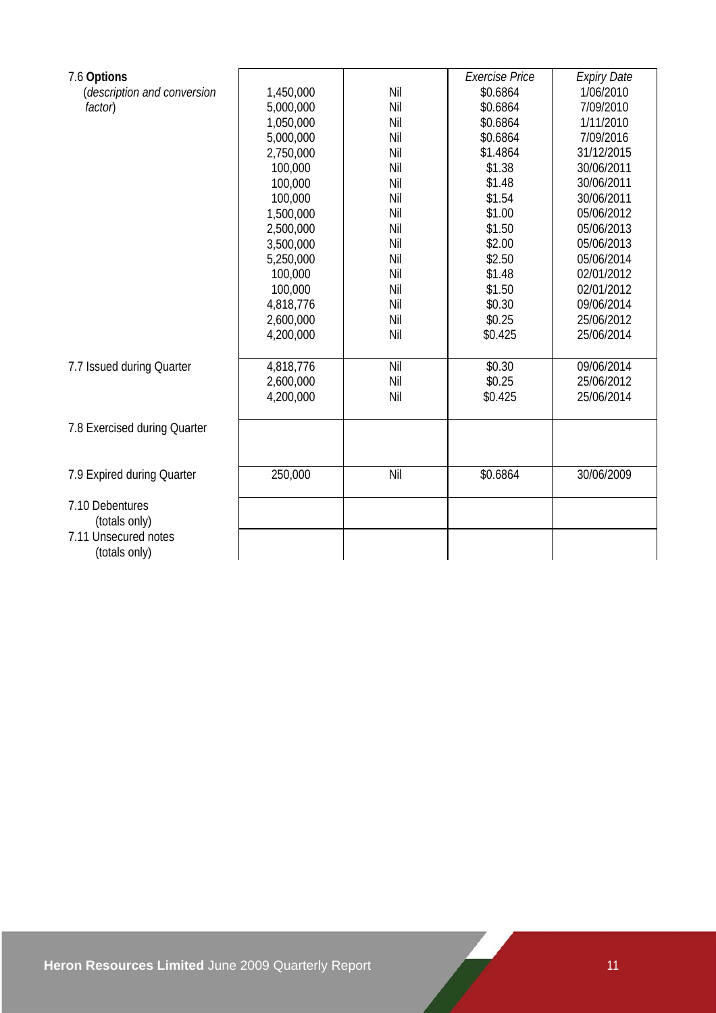|                                            |           |     | <b>Exercise Price</b> | <b>Expiry Date</b> |
|--------------------------------------------|-----------|-----|-----------------------|--------------------|
| 7.6 Options<br>(description and conversion | 1,450,000 | Nil | \$0.6864              | 1/06/2010          |
|                                            |           |     |                       |                    |
| factor)                                    | 5,000,000 | Nil | \$0.6864              | 7/09/2010          |
|                                            | 1,050,000 | Nil | \$0.6864              | 1/11/2010          |
|                                            | 5,000,000 | Nil | \$0.6864              | 7/09/2016          |
|                                            | 2,750,000 | Nil | \$1.4864              | 31/12/2015         |
|                                            | 100,000   | Nil | \$1.38                | 30/06/2011         |
|                                            | 100,000   | Nil | \$1.48                | 30/06/2011         |
|                                            | 100,000   | Nil | \$1.54                | 30/06/2011         |
|                                            | 1,500,000 | Nil | \$1.00                | 05/06/2012         |
|                                            | 2,500,000 | Nil | \$1.50                | 05/06/2013         |
|                                            | 3,500,000 | Nil | \$2.00                | 05/06/2013         |
|                                            | 5,250,000 | Nil | \$2.50                | 05/06/2014         |
|                                            | 100,000   | Nil | \$1.48                | 02/01/2012         |
|                                            | 100,000   | Nil | \$1.50                | 02/01/2012         |
|                                            | 4,818,776 | Nil | \$0.30                | 09/06/2014         |
|                                            | 2,600,000 | Nil | \$0.25                | 25/06/2012         |
|                                            | 4,200,000 | Nil | \$0.425               | 25/06/2014         |
|                                            |           |     |                       |                    |
| 7.7 Issued during Quarter                  | 4,818,776 | Nil | \$0.30                | 09/06/2014         |
|                                            | 2,600,000 | Nil | \$0.25                | 25/06/2012         |
|                                            | 4,200,000 | Nil | \$0.425               | 25/06/2014         |
|                                            |           |     |                       |                    |
| 7.8 Exercised during Quarter               |           |     |                       |                    |
|                                            |           |     |                       |                    |
|                                            |           |     |                       |                    |
| 7.9 Expired during Quarter                 | 250,000   | Nil | \$0.6864              | 30/06/2009         |
|                                            |           |     |                       |                    |
| 7.10 Debentures                            |           |     |                       |                    |
| (totals only)                              |           |     |                       |                    |
| 7.11 Unsecured notes                       |           |     |                       |                    |
| (totals only)                              |           |     |                       |                    |
|                                            |           |     |                       |                    |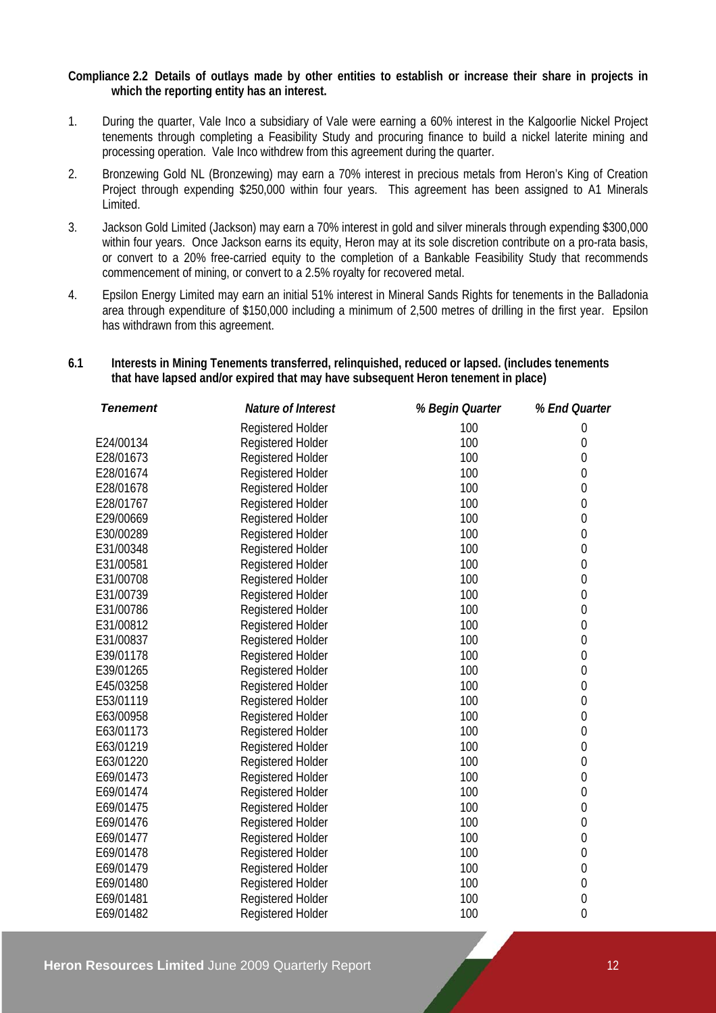### **Compliance 2.2 Details of outlays made by other entities to establish or increase their share in projects in which the reporting entity has an interest.**

- 1. During the quarter, Vale Inco a subsidiary of Vale were earning a 60% interest in the Kalgoorlie Nickel Project tenements through completing a Feasibility Study and procuring finance to build a nickel laterite mining and processing operation. Vale Inco withdrew from this agreement during the quarter.
- 2. Bronzewing Gold NL (Bronzewing) may earn a 70% interest in precious metals from Heron's King of Creation Project through expending \$250,000 within four years. This agreement has been assigned to A1 Minerals Limited.
- 3. Jackson Gold Limited (Jackson) may earn a 70% interest in gold and silver minerals through expending \$300,000 within four years. Once Jackson earns its equity, Heron may at its sole discretion contribute on a pro-rata basis, or convert to a 20% free-carried equity to the completion of a Bankable Feasibility Study that recommends commencement of mining, or convert to a 2.5% royalty for recovered metal.
- 4. Epsilon Energy Limited may earn an initial 51% interest in Mineral Sands Rights for tenements in the Balladonia area through expenditure of \$150,000 including a minimum of 2,500 metres of drilling in the first year. Epsilon has withdrawn from this agreement.

### **6.1 Interests in Mining Tenements transferred, relinquished, reduced or lapsed. (includes tenements that have lapsed and/or expired that may have subsequent Heron tenement in place)**

| <b>Tenement</b> | Nature of Interest       | % Begin Quarter | % End Quarter    |
|-----------------|--------------------------|-----------------|------------------|
|                 | Registered Holder        | 100             | 0                |
| E24/00134       | Registered Holder        | 100             | 0                |
| E28/01673       | Registered Holder        | 100             | 0                |
| E28/01674       | <b>Registered Holder</b> | 100             | $\mathbf 0$      |
| E28/01678       | <b>Registered Holder</b> | 100             | 0                |
| E28/01767       | Registered Holder        | 100             | $\mathbf 0$      |
| E29/00669       | Registered Holder        | 100             | 0                |
| E30/00289       | <b>Registered Holder</b> | 100             | $\mathbf 0$      |
| E31/00348       | Registered Holder        | 100             | $\mathbf 0$      |
| E31/00581       | <b>Registered Holder</b> | 100             | 0                |
| E31/00708       | Registered Holder        | 100             | 0                |
| E31/00739       | Registered Holder        | 100             | $\boldsymbol{0}$ |
| E31/00786       | Registered Holder        | 100             | 0                |
| E31/00812       | Registered Holder        | 100             | 0                |
| E31/00837       | Registered Holder        | 100             | 0                |
| E39/01178       | Registered Holder        | 100             | $\mathbf 0$      |
| E39/01265       | Registered Holder        | 100             | 0                |
| E45/03258       | Registered Holder        | 100             | 0                |
| E53/01119       | <b>Registered Holder</b> | 100             | $\mathbf 0$      |
| E63/00958       | Registered Holder        | 100             | $\mathbf 0$      |
| E63/01173       | Registered Holder        | 100             | 0                |
| E63/01219       | <b>Registered Holder</b> | 100             | $\mathbf 0$      |
| E63/01220       | <b>Registered Holder</b> | 100             | $\boldsymbol{0}$ |
| E69/01473       | Registered Holder        | 100             | $\mathbf{0}$     |
| E69/01474       | Registered Holder        | 100             | 0                |
| E69/01475       | <b>Registered Holder</b> | 100             | 0                |
| E69/01476       | Registered Holder        | 100             | $\mathbf{0}$     |
| E69/01477       | Registered Holder        | 100             | 0                |
| E69/01478       | <b>Registered Holder</b> | 100             | 0                |
| E69/01479       | <b>Registered Holder</b> | 100             | $\mathbf 0$      |
| E69/01480       | Registered Holder        | 100             | $\theta$         |
| E69/01481       | <b>Registered Holder</b> | 100             | $\mathbf{0}$     |
| E69/01482       | <b>Registered Holder</b> | 100             | 0                |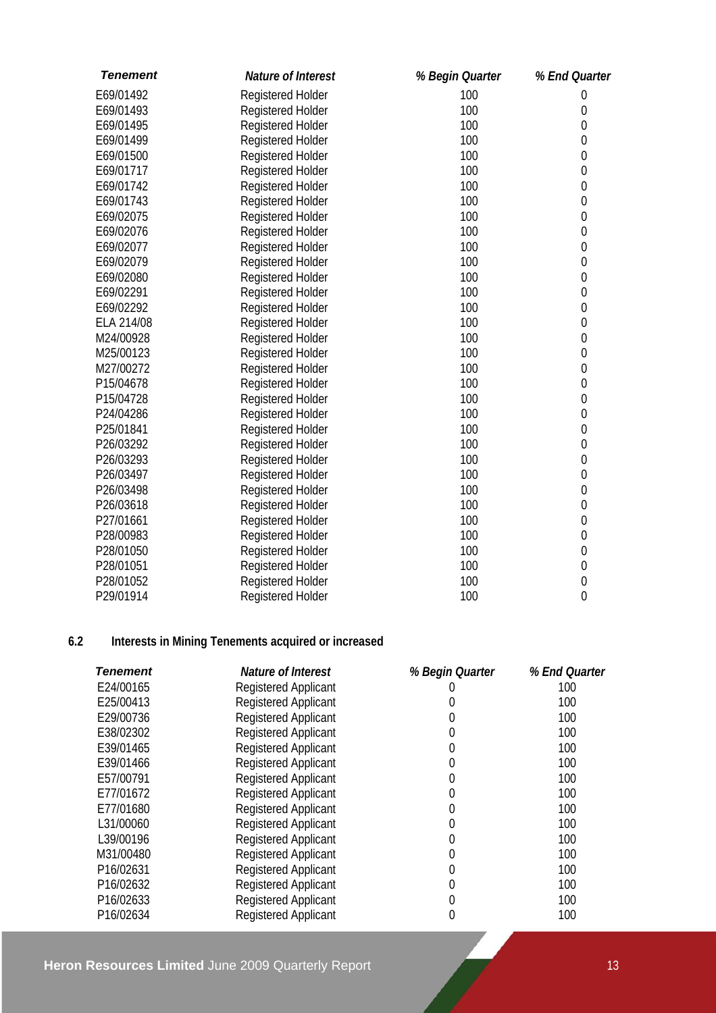| <b>Tenement</b> | Nature of Interest       | % Begin Quarter | % End Quarter  |
|-----------------|--------------------------|-----------------|----------------|
| E69/01492       | Registered Holder        | 100             | $\theta$       |
| E69/01493       | Registered Holder        | 100             | 0              |
| E69/01495       | Registered Holder        | 100             | 0              |
| E69/01499       | Registered Holder        | 100             | 0              |
| E69/01500       | Registered Holder        | 100             | 0              |
| E69/01717       | Registered Holder        | 100             | 0              |
| E69/01742       | Registered Holder        | 100             | 0              |
| E69/01743       | <b>Registered Holder</b> | 100             | 0              |
| E69/02075       | Registered Holder        | 100             | $\mathbf{0}$   |
| E69/02076       | Registered Holder        | 100             | $\mathbf 0$    |
| E69/02077       | Registered Holder        | 100             | $\mathbf 0$    |
| E69/02079       | Registered Holder        | 100             | 0              |
| E69/02080       | Registered Holder        | 100             | $\overline{0}$ |
| E69/02291       | Registered Holder        | 100             | 0              |
| E69/02292       | Registered Holder        | 100             | 0              |
| ELA 214/08      | Registered Holder        | 100             | $\theta$       |
| M24/00928       | <b>Registered Holder</b> | 100             | 0              |
| M25/00123       | Registered Holder        | 100             | 0              |
| M27/00272       | Registered Holder        | 100             | 0              |
| P15/04678       | Registered Holder        | 100             | 0              |
| P15/04728       | <b>Registered Holder</b> | 100             | 0              |
| P24/04286       | Registered Holder        | 100             | 0              |
| P25/01841       | Registered Holder        | 100             | 0              |
| P26/03292       | Registered Holder        | 100             | 0              |
| P26/03293       | Registered Holder        | 100             | 0              |
| P26/03497       | Registered Holder        | 100             | 0              |
| P26/03498       | Registered Holder        | 100             | $\mathbf 0$    |
| P26/03618       | Registered Holder        | 100             | $\mathbf{0}$   |
| P27/01661       | Registered Holder        | 100             | 0              |
| P28/00983       | <b>Registered Holder</b> | 100             | 0              |
| P28/01050       | Registered Holder        | 100             | 0              |
| P28/01051       | Registered Holder        | 100             | 0              |
| P28/01052       | Registered Holder        | 100             | 0              |
| P29/01914       | Registered Holder        | 100             | $\mathbf{0}$   |

### **6.2 Interests in Mining Tenements acquired or increased**

| Tenement  | Nature of Interest          | % Begin Quarter | % End Quarter |
|-----------|-----------------------------|-----------------|---------------|
| E24/00165 | <b>Registered Applicant</b> |                 | 100           |
| E25/00413 | <b>Registered Applicant</b> |                 | 100           |
| E29/00736 | <b>Registered Applicant</b> | 0               | 100           |
| E38/02302 | Registered Applicant        | 0               | 100           |
| E39/01465 | <b>Registered Applicant</b> | 0               | 100           |
| E39/01466 | <b>Registered Applicant</b> | 0               | 100           |
| E57/00791 | <b>Registered Applicant</b> | 0               | 100           |
| E77/01672 | <b>Registered Applicant</b> | 0               | 100           |
| E77/01680 | <b>Registered Applicant</b> | 0               | 100           |
| L31/00060 | <b>Registered Applicant</b> | 0               | 100           |
| L39/00196 | <b>Registered Applicant</b> | 0               | 100           |
| M31/00480 | <b>Registered Applicant</b> | 0               | 100           |
| P16/02631 | <b>Registered Applicant</b> | 0               | 100           |
| P16/02632 | Registered Applicant        | 0               | 100           |
| P16/02633 | Registered Applicant        | 0               | 100           |
| P16/02634 | <b>Registered Applicant</b> |                 | 100           |